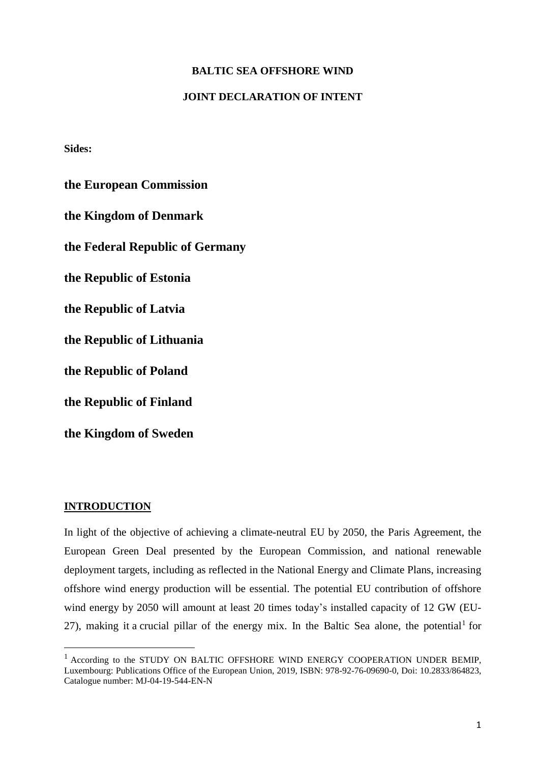## **BALTIC SEA OFFSHORE WIND**

#### **JOINT DECLARATION OF INTENT**

**Sides:**

**the European Commission the Kingdom of Denmark the Federal Republic of Germany the Republic of Estonia the Republic of Latvia the Republic of Lithuania the Republic of Poland the Republic of Finland the Kingdom of Sweden**

#### **INTRODUCTION**

 $\overline{a}$ 

In light of the objective of achieving a climate-neutral EU by 2050, the Paris Agreement, the European Green Deal presented by the European Commission, and national renewable deployment targets, including as reflected in the National Energy and Climate Plans, increasing offshore wind energy production will be essential. The potential EU contribution of offshore wind energy by 2050 will amount at least 20 times today's installed capacity of 12 GW (EU-27), making it a crucial pillar of the energy mix. In the Baltic Sea alone, the potential for

<sup>&</sup>lt;sup>1</sup> According to the STUDY ON BALTIC OFFSHORE WIND ENERGY COOPERATION UNDER BEMIP, Luxembourg: Publications Office of the European Union, 2019, ISBN: 978-92-76-09690-0, Doi: 10.2833/864823, Catalogue number: MJ-04-19-544-EN-N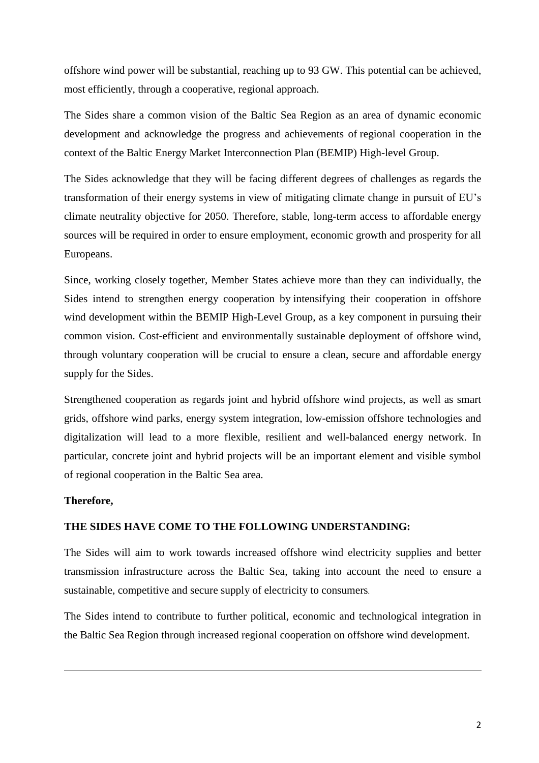offshore wind power will be substantial, reaching up to 93 GW. This potential can be achieved, most efficiently, through a cooperative, regional approach.

The Sides share a common vision of the Baltic Sea Region as an area of dynamic economic development and acknowledge the progress and achievements of regional cooperation in the context of the Baltic Energy Market Interconnection Plan (BEMIP) High-level Group.

The Sides acknowledge that they will be facing different degrees of challenges as regards the transformation of their energy systems in view of mitigating climate change in pursuit of EU's climate neutrality objective for 2050. Therefore, stable, long-term access to affordable energy sources will be required in order to ensure employment, economic growth and prosperity for all Europeans.

Since, working closely together, Member States achieve more than they can individually, the Sides intend to strengthen energy cooperation by intensifying their cooperation in offshore wind development within the BEMIP High-Level Group, as a key component in pursuing their common vision. Cost-efficient and environmentally sustainable deployment of offshore wind, through voluntary cooperation will be crucial to ensure a clean, secure and affordable energy supply for the Sides.

Strengthened cooperation as regards joint and hybrid offshore wind projects, as well as smart grids, offshore wind parks, energy system integration, low-emission offshore technologies and digitalization will lead to a more flexible, resilient and well-balanced energy network. In particular, concrete joint and hybrid projects will be an important element and visible symbol of regional cooperation in the Baltic Sea area.

### **Therefore,**

1

### **THE SIDES HAVE COME TO THE FOLLOWING UNDERSTANDING:**

The Sides will aim to work towards increased offshore wind electricity supplies and better transmission infrastructure across the Baltic Sea, taking into account the need to ensure a sustainable, competitive and secure supply of electricity to consumers.

The Sides intend to contribute to further political, economic and technological integration in the Baltic Sea Region through increased regional cooperation on offshore wind development.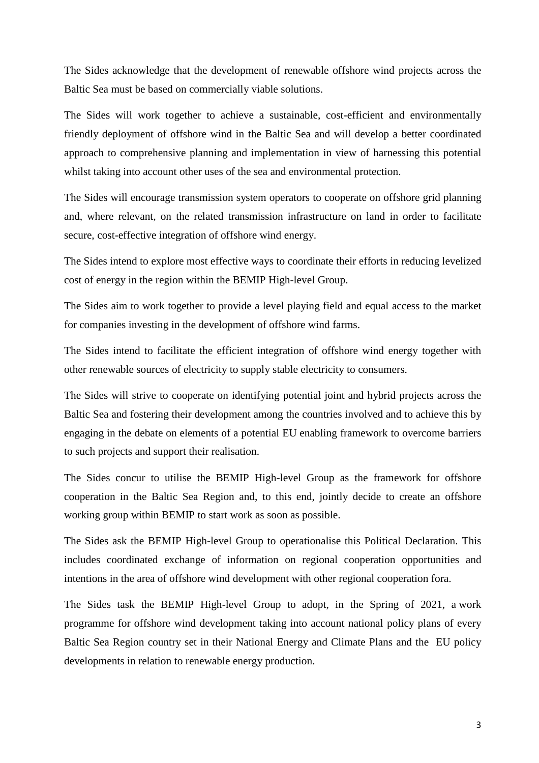The Sides acknowledge that the development of renewable offshore wind projects across the Baltic Sea must be based on commercially viable solutions.

The Sides will work together to achieve a sustainable, cost-efficient and environmentally friendly deployment of offshore wind in the Baltic Sea and will develop a better coordinated approach to comprehensive planning and implementation in view of harnessing this potential whilst taking into account other uses of the sea and environmental protection.

The Sides will encourage transmission system operators to cooperate on offshore grid planning and, where relevant, on the related transmission infrastructure on land in order to facilitate secure, cost-effective integration of offshore wind energy.

The Sides intend to explore most effective ways to coordinate their efforts in reducing levelized cost of energy in the region within the BEMIP High-level Group.

The Sides aim to work together to provide a level playing field and equal access to the market for companies investing in the development of offshore wind farms.

The Sides intend to facilitate the efficient integration of offshore wind energy together with other renewable sources of electricity to supply stable electricity to consumers.

The Sides will strive to cooperate on identifying potential joint and hybrid projects across the Baltic Sea and fostering their development among the countries involved and to achieve this by engaging in the debate on elements of a potential EU enabling framework to overcome barriers to such projects and support their realisation.

The Sides concur to utilise the BEMIP High-level Group as the framework for offshore cooperation in the Baltic Sea Region and, to this end, jointly decide to create an offshore working group within BEMIP to start work as soon as possible.

The Sides ask the BEMIP High-level Group to operationalise this Political Declaration. This includes coordinated exchange of information on regional cooperation opportunities and intentions in the area of offshore wind development with other regional cooperation fora.

The Sides task the BEMIP High-level Group to adopt, in the Spring of 2021, a work programme for offshore wind development taking into account national policy plans of every Baltic Sea Region country set in their National Energy and Climate Plans and the EU policy developments in relation to renewable energy production.